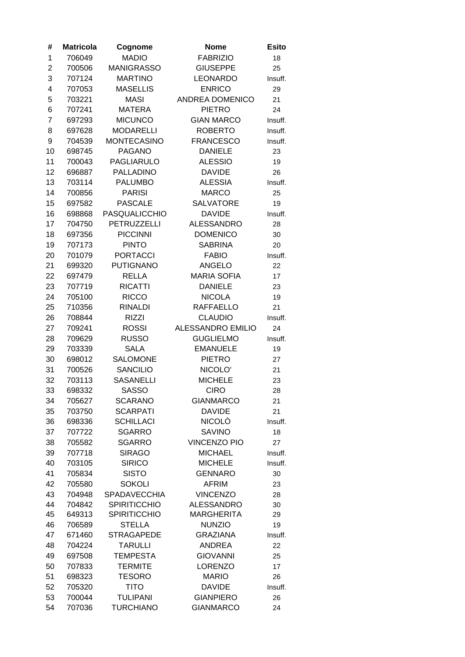| #              | <b>Matricola</b> | Cognome              | <b>Nome</b>              | <b>Esito</b> |
|----------------|------------------|----------------------|--------------------------|--------------|
| 1              | 706049           | <b>MADIO</b>         | <b>FABRIZIO</b>          | 18           |
| $\overline{2}$ | 700506           | <b>MANIGRASSO</b>    | <b>GIUSEPPE</b>          | 25           |
| 3              | 707124           | <b>MARTINO</b>       | <b>LEONARDO</b>          | Insuff.      |
| 4              | 707053           | <b>MASELLIS</b>      | <b>ENRICO</b>            | 29           |
| 5              | 703221           | <b>MASI</b>          | <b>ANDREA DOMENICO</b>   | 21           |
| 6              | 707241           | <b>MATERA</b>        | <b>PIETRO</b>            | 24           |
| $\overline{7}$ | 697293           | <b>MICUNCO</b>       | <b>GIAN MARCO</b>        | Insuff.      |
| 8              | 697628           | <b>MODARELLI</b>     | <b>ROBERTO</b>           | Insuff.      |
| 9              | 704539           | <b>MONTECASINO</b>   | <b>FRANCESCO</b>         | Insuff.      |
| 10             | 698745           | <b>PAGANO</b>        | <b>DANIELE</b>           | 23           |
| 11             | 700043           | <b>PAGLIARULO</b>    | <b>ALESSIO</b>           | 19           |
| 12             | 696887           | <b>PALLADINO</b>     | <b>DAVIDE</b>            | 26           |
| 13             | 703114           | <b>PALUMBO</b>       | <b>ALESSIA</b>           | Insuff.      |
| 14             | 700856           | <b>PARISI</b>        | <b>MARCO</b>             | 25           |
| 15             | 697582           | <b>PASCALE</b>       | <b>SALVATORE</b>         | 19           |
| 16             | 698868           | <b>PASQUALICCHIO</b> | <b>DAVIDE</b>            | Insuff.      |
| 17             | 704750           | PETRUZZELLI          | <b>ALESSANDRO</b>        | 28           |
| 18             | 697356           | <b>PICCINNI</b>      | <b>DOMENICO</b>          | 30           |
| 19             | 707173           | <b>PINTO</b>         | <b>SABRINA</b>           | 20           |
| 20             | 701079           | <b>PORTACCI</b>      | <b>FABIO</b>             | Insuff.      |
| 21             | 699320           | <b>PUTIGNANO</b>     | <b>ANGELO</b>            | 22           |
| 22             | 697479           | <b>RELLA</b>         | <b>MARIA SOFIA</b>       | 17           |
| 23             | 707719           | <b>RICATTI</b>       | <b>DANIELE</b>           | 23           |
| 24             | 705100           | <b>RICCO</b>         | <b>NICOLA</b>            | 19           |
| 25             | 710356           | <b>RINALDI</b>       | <b>RAFFAELLO</b>         | 21           |
| 26             | 708844           | <b>RIZZI</b>         | <b>CLAUDIO</b>           | Insuff.      |
| 27             | 709241           | <b>ROSSI</b>         | <b>ALESSANDRO EMILIO</b> | 24           |
| 28             | 709629           | <b>RUSSO</b>         | <b>GUGLIELMO</b>         | Insuff.      |
| 29             | 703339           | <b>SALA</b>          | <b>EMANUELE</b>          | 19           |
| 30             | 698012           | <b>SALOMONE</b>      | <b>PIETRO</b>            | 27           |
| 31             | 700526           | <b>SANCILIO</b>      | NICOLO'                  | 21           |
| 32             | 703113           | <b>SASANELLI</b>     | <b>MICHELE</b>           | 23           |
| 33             | 698332           | <b>SASSO</b>         | <b>CIRO</b>              | 28           |
| 34             | 705627           | <b>SCARANO</b>       | <b>GIANMARCO</b>         | 21           |
| 35             | 703750           | <b>SCARPATI</b>      | <b>DAVIDE</b>            | 21           |
| 36             | 698336           | <b>SCHILLACI</b>     | NICOLÒ                   | Insuff.      |
| 37             | 707722           | <b>SGARRO</b>        | <b>SAVINO</b>            | 18           |
| 38             | 705582           | <b>SGARRO</b>        | <b>VINCENZO PIO</b>      | 27           |
| 39             | 707718           | <b>SIRAGO</b>        | <b>MICHAEL</b>           | Insuff.      |
| 40             | 703105           | <b>SIRICO</b>        | <b>MICHELE</b>           | Insuff.      |
| 41             | 705834           | <b>SISTO</b>         | <b>GENNARO</b>           | 30           |
| 42             | 705580           | <b>SOKOLI</b>        | <b>AFRIM</b>             | 23           |
| 43             | 704948           | <b>SPADAVECCHIA</b>  | <b>VINCENZO</b>          | 28           |
| 44             | 704842           | <b>SPIRITICCHIO</b>  | <b>ALESSANDRO</b>        | 30           |
| 45             | 649313           | <b>SPIRITICCHIO</b>  | <b>MARGHERITA</b>        | 29           |
| 46             | 706589           | <b>STELLA</b>        | <b>NUNZIO</b>            | 19           |
| 47             | 671460           | <b>STRAGAPEDE</b>    | <b>GRAZIANA</b>          | Insuff.      |
| 48             | 704224           | <b>TARULLI</b>       | <b>ANDREA</b>            | 22           |
| 49             | 697508           | <b>TEMPESTA</b>      | <b>GIOVANNI</b>          | 25           |
| 50             | 707833           | <b>TERMITE</b>       | <b>LORENZO</b>           | 17           |
| 51             | 698323           | <b>TESORO</b>        | <b>MARIO</b>             | 26           |
| 52             | 705320           | <b>TITO</b>          | <b>DAVIDE</b>            | Insuff.      |
| 53             | 700044           | <b>TULIPANI</b>      | <b>GIANPIERO</b>         | 26           |
| 54             | 707036           | <b>TURCHIANO</b>     | <b>GIANMARCO</b>         | 24           |